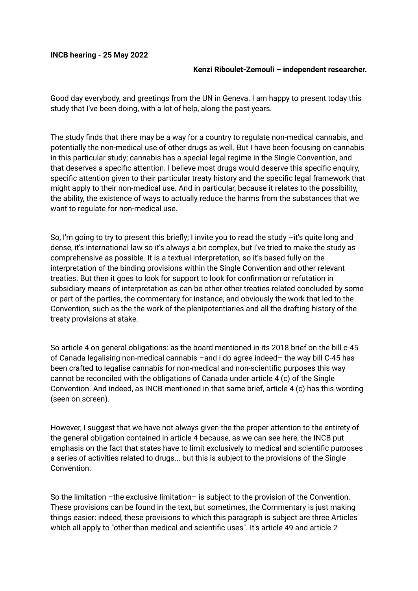## **INCB hearing - 25 May 2022**

## **Kenzi Riboulet-Zemouli – independent researcher.**

Good day everybody, and greetings from the UN in Geneva. I am happy to present today this study that I've been doing, with a lot of help, along the past years.

The study finds that there may be a way for a country to regulate non-medical cannabis, and potentially the non-medical use of other drugs as well. But I have been focusing on cannabis in this particular study; cannabis has a special legal regime in the Single Convention, and that deserves a specific attention. I believe most drugs would deserve this specific enquiry, specific attention given to their particular treaty history and the specific legal framework that might apply to their non-medical use. And in particular, because it relates to the possibility, the ability, the existence of ways to actually reduce the harms from the substances that we want to regulate for non-medical use.

So, I'm going to try to present this briefly; I invite you to read the study –it's quite long and dense, it's international law so it's always a bit complex, but I've tried to make the study as comprehensive as possible. It is a textual interpretation, so it's based fully on the interpretation of the binding provisions within the Single Convention and other relevant treaties. But then it goes to look for support to look for confirmation or refutation in subsidiary means of interpretation as can be other other treaties related concluded by some or part of the parties, the commentary for instance, and obviously the work that led to the Convention, such as the the work of the plenipotentiaries and all the drafting history of the treaty provisions at stake.

So article 4 on general obligations: as the board mentioned in its 2018 brief on the bill c-45 of Canada legalising non-medical cannabis –and i do agree indeed– the way bill C-45 has been crafted to legalise cannabis for non-medical and non-scientific purposes this way cannot be reconciled with the obligations of Canada under article 4 (c) of the Single Convention. And indeed, as INCB mentioned in that same brief, article 4 (c) has this wording (seen on screen).

However, I suggest that we have not always given the the proper attention to the entirety of the general obligation contained in article 4 because, as we can see here, the INCB put emphasis on the fact that states have to limit exclusively to medical and scientific purposes a series of activities related to drugs... but this is subject to the provisions of the Single Convention.

So the limitation –the exclusive limitation– is subject to the provision of the Convention. These provisions can be found in the text, but sometimes, the Commentary is just making things easier: indeed, these provisions to which this paragraph is subject are three Articles which all apply to "other than medical and scientific uses". It's article 49 and article 2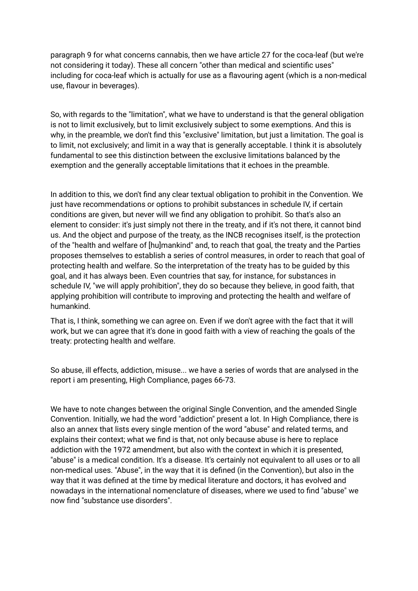paragraph 9 for what concerns cannabis, then we have article 27 for the coca-leaf (but we're not considering it today). These all concern "other than medical and scientific uses" including for coca-leaf which is actually for use as a flavouring agent (which is a non-medical use, flavour in beverages).

So, with regards to the "limitation", what we have to understand is that the general obligation is not to limit exclusively, but to limit exclusively subject to some exemptions. And this is why, in the preamble, we don't find this "exclusive" limitation, but just a limitation. The goal is to limit, not exclusively; and limit in a way that is generally acceptable. I think it is absolutely fundamental to see this distinction between the exclusive limitations balanced by the exemption and the generally acceptable limitations that it echoes in the preamble.

In addition to this, we don't find any clear textual obligation to prohibit in the Convention. We just have recommendations or options to prohibit substances in schedule IV, if certain conditions are given, but never will we find any obligation to prohibit. So that's also an element to consider: it's just simply not there in the treaty, and if it's not there, it cannot bind us. And the object and purpose of the treaty, as the INCB recognises itself, is the protection of the "health and welfare of [hu]mankind" and, to reach that goal, the treaty and the Parties proposes themselves to establish a series of control measures, in order to reach that goal of protecting health and welfare. So the interpretation of the treaty has to be guided by this goal, and it has always been. Even countries that say, for instance, for substances in schedule IV, "we will apply prohibition", they do so because they believe, in good faith, that applying prohibition will contribute to improving and protecting the health and welfare of humankind.

That is, I think, something we can agree on. Even if we don't agree with the fact that it will work, but we can agree that it's done in good faith with a view of reaching the goals of the treaty: protecting health and welfare.

So abuse, ill effects, addiction, misuse... we have a series of words that are analysed in the report i am presenting, High Compliance, pages 66-73.

We have to note changes between the original Single Convention, and the amended Single Convention. Initially, we had the word "addiction" present a lot. In High Compliance, there is also an annex that lists every single mention of the word "abuse" and related terms, and explains their context; what we find is that, not only because abuse is here to replace addiction with the 1972 amendment, but also with the context in which it is presented, "abuse" is a medical condition. It's a disease. It's certainly not equivalent to all uses or to all non-medical uses. "Abuse", in the way that it is defined (in the Convention), but also in the way that it was defined at the time by medical literature and doctors, it has evolved and nowadays in the international nomenclature of diseases, where we used to find "abuse" we now find "substance use disorders".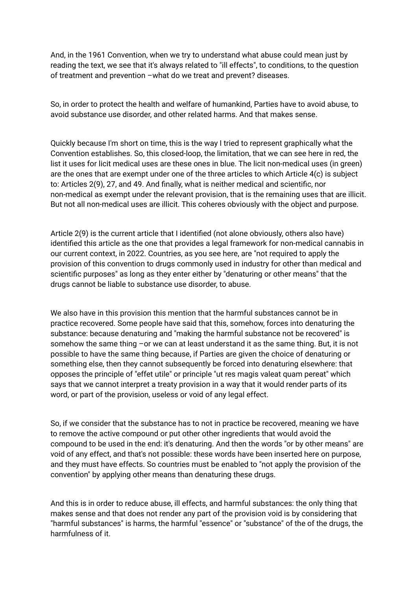And, in the 1961 Convention, when we try to understand what abuse could mean just by reading the text, we see that it's always related to "ill effects", to conditions, to the question of treatment and prevention –what do we treat and prevent? diseases.

So, in order to protect the health and welfare of humankind, Parties have to avoid abuse, to avoid substance use disorder, and other related harms. And that makes sense.

Quickly because I'm short on time, this is the way I tried to represent graphically what the Convention establishes. So, this closed-loop, the limitation, that we can see here in red, the list it uses for licit medical uses are these ones in blue. The licit non-medical uses (in green) are the ones that are exempt under one of the three articles to which Article 4(c) is subject to: Articles 2(9), 27, and 49. And finally, what is neither medical and scientific, nor non-medical as exempt under the relevant provision, that is the remaining uses that are illicit. But not all non-medical uses are illicit. This coheres obviously with the object and purpose.

Article 2(9) is the current article that I identified (not alone obviously, others also have) identified this article as the one that provides a legal framework for non-medical cannabis in our current context, in 2022. Countries, as you see here, are "not required to apply the provision of this convention to drugs commonly used in industry for other than medical and scientific purposes" as long as they enter either by "denaturing or other means" that the drugs cannot be liable to substance use disorder, to abuse.

We also have in this provision this mention that the harmful substances cannot be in practice recovered. Some people have said that this, somehow, forces into denaturing the substance: because denaturing and "making the harmful substance not be recovered" is somehow the same thing -or we can at least understand it as the same thing. But, it is not possible to have the same thing because, if Parties are given the choice of denaturing or something else, then they cannot subsequently be forced into denaturing elsewhere: that opposes the principle of "effet utile" or principle "ut res magis valeat quam pereat" which says that we cannot interpret a treaty provision in a way that it would render parts of its word, or part of the provision, useless or void of any legal effect.

So, if we consider that the substance has to not in practice be recovered, meaning we have to remove the active compound or put other other ingredients that would avoid the compound to be used in the end: it's denaturing. And then the words "or by other means" are void of any effect, and that's not possible: these words have been inserted here on purpose, and they must have effects. So countries must be enabled to "not apply the provision of the convention" by applying other means than denaturing these drugs.

And this is in order to reduce abuse, ill effects, and harmful substances: the only thing that makes sense and that does not render any part of the provision void is by considering that "harmful substances" is harms, the harmful "essence" or "substance" of the of the drugs, the harmfulness of it.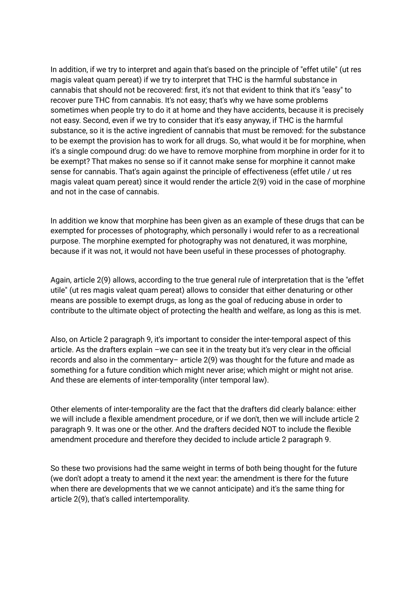In addition, if we try to interpret and again that's based on the principle of "effet utile" (ut res magis valeat quam pereat) if we try to interpret that THC is the harmful substance in cannabis that should not be recovered: first, it's not that evident to think that it's "easy" to recover pure THC from cannabis. It's not easy; that's why we have some problems sometimes when people try to do it at home and they have accidents, because it is precisely not easy. Second, even if we try to consider that it's easy anyway, if THC is the harmful substance, so it is the active ingredient of cannabis that must be removed: for the substance to be exempt the provision has to work for all drugs. So, what would it be for morphine, when it's a single compound drug: do we have to remove morphine from morphine in order for it to be exempt? That makes no sense so if it cannot make sense for morphine it cannot make sense for cannabis. That's again against the principle of effectiveness (effet utile / ut res magis valeat quam pereat) since it would render the article 2(9) void in the case of morphine and not in the case of cannabis.

In addition we know that morphine has been given as an example of these drugs that can be exempted for processes of photography, which personally i would refer to as a recreational purpose. The morphine exempted for photography was not denatured, it was morphine, because if it was not, it would not have been useful in these processes of photography.

Again, article 2(9) allows, according to the true general rule of interpretation that is the "effet utile" (ut res magis valeat quam pereat) allows to consider that either denaturing or other means are possible to exempt drugs, as long as the goal of reducing abuse in order to contribute to the ultimate object of protecting the health and welfare, as long as this is met.

Also, on Article 2 paragraph 9, it's important to consider the inter-temporal aspect of this article. As the drafters explain –we can see it in the treaty but it's very clear in the official records and also in the commentary– article 2(9) was thought for the future and made as something for a future condition which might never arise; which might or might not arise. And these are elements of inter-temporality (inter temporal law).

Other elements of inter-temporality are the fact that the drafters did clearly balance: either we will include a flexible amendment procedure, or if we don't, then we will include article 2 paragraph 9. It was one or the other. And the drafters decided NOT to include the flexible amendment procedure and therefore they decided to include article 2 paragraph 9.

So these two provisions had the same weight in terms of both being thought for the future (we don't adopt a treaty to amend it the next year: the amendment is there for the future when there are developments that we we cannot anticipate) and it's the same thing for article 2(9), that's called intertemporality.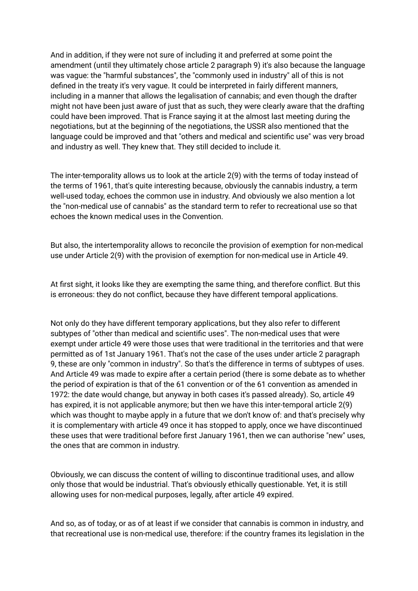And in addition, if they were not sure of including it and preferred at some point the amendment (until they ultimately chose article 2 paragraph 9) it's also because the language was vague: the "harmful substances", the "commonly used in industry" all of this is not defined in the treaty it's very vague. It could be interpreted in fairly different manners, including in a manner that allows the legalisation of cannabis; and even though the drafter might not have been just aware of just that as such, they were clearly aware that the drafting could have been improved. That is France saying it at the almost last meeting during the negotiations, but at the beginning of the negotiations, the USSR also mentioned that the language could be improved and that "others and medical and scientific use" was very broad and industry as well. They knew that. They still decided to include it.

The inter-temporality allows us to look at the article 2(9) with the terms of today instead of the terms of 1961, that's quite interesting because, obviously the cannabis industry, a term well-used today, echoes the common use in industry. And obviously we also mention a lot the "non-medical use of cannabis" as the standard term to refer to recreational use so that echoes the known medical uses in the Convention.

But also, the intertemporality allows to reconcile the provision of exemption for non-medical use under Article 2(9) with the provision of exemption for non-medical use in Article 49.

At first sight, it looks like they are exempting the same thing, and therefore conflict. But this is erroneous: they do not conflict, because they have different temporal applications.

Not only do they have different temporary applications, but they also refer to different subtypes of "other than medical and scientific uses". The non-medical uses that were exempt under article 49 were those uses that were traditional in the territories and that were permitted as of 1st January 1961. That's not the case of the uses under article 2 paragraph 9, these are only "common in industry". So that's the difference in terms of subtypes of uses. And Article 49 was made to expire after a certain period (there is some debate as to whether the period of expiration is that of the 61 convention or of the 61 convention as amended in 1972: the date would change, but anyway in both cases it's passed already). So, article 49 has expired, it is not applicable anymore; but then we have this inter-temporal article 2(9) which was thought to maybe apply in a future that we don't know of: and that's precisely why it is complementary with article 49 once it has stopped to apply, once we have discontinued these uses that were traditional before first January 1961, then we can authorise "new" uses, the ones that are common in industry.

Obviously, we can discuss the content of willing to discontinue traditional uses, and allow only those that would be industrial. That's obviously ethically questionable. Yet, it is still allowing uses for non-medical purposes, legally, after article 49 expired.

And so, as of today, or as of at least if we consider that cannabis is common in industry, and that recreational use is non-medical use, therefore: if the country frames its legislation in the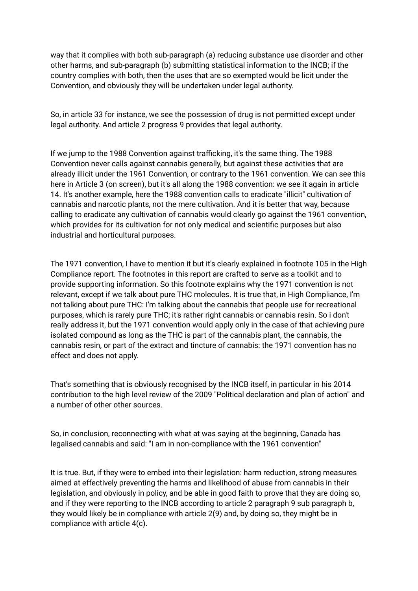way that it complies with both sub-paragraph (a) reducing substance use disorder and other other harms, and sub-paragraph (b) submitting statistical information to the INCB; if the country complies with both, then the uses that are so exempted would be licit under the Convention, and obviously they will be undertaken under legal authority.

So, in article 33 for instance, we see the possession of drug is not permitted except under legal authority. And article 2 progress 9 provides that legal authority.

If we jump to the 1988 Convention against trafficking, it's the same thing. The 1988 Convention never calls against cannabis generally, but against these activities that are already illicit under the 1961 Convention, or contrary to the 1961 convention. We can see this here in Article 3 (on screen), but it's all along the 1988 convention: we see it again in article 14. It's another example, here the 1988 convention calls to eradicate "illicit" cultivation of cannabis and narcotic plants, not the mere cultivation. And it is better that way, because calling to eradicate any cultivation of cannabis would clearly go against the 1961 convention, which provides for its cultivation for not only medical and scientific purposes but also industrial and horticultural purposes.

The 1971 convention, I have to mention it but it's clearly explained in footnote 105 in the High Compliance report. The footnotes in this report are crafted to serve as a toolkit and to provide supporting information. So this footnote explains why the 1971 convention is not relevant, except if we talk about pure THC molecules. It is true that, in High Compliance, I'm not talking about pure THC: I'm talking about the cannabis that people use for recreational purposes, which is rarely pure THC; it's rather right cannabis or cannabis resin. So i don't really address it, but the 1971 convention would apply only in the case of that achieving pure isolated compound as long as the THC is part of the cannabis plant, the cannabis, the cannabis resin, or part of the extract and tincture of cannabis: the 1971 convention has no effect and does not apply.

That's something that is obviously recognised by the INCB itself, in particular in his 2014 contribution to the high level review of the 2009 "Political declaration and plan of action" and a number of other other sources.

So, in conclusion, reconnecting with what at was saying at the beginning, Canada has legalised cannabis and said: "I am in non-compliance with the 1961 convention"

It is true. But, if they were to embed into their legislation: harm reduction, strong measures aimed at effectively preventing the harms and likelihood of abuse from cannabis in their legislation, and obviously in policy, and be able in good faith to prove that they are doing so, and if they were reporting to the INCB according to article 2 paragraph 9 sub paragraph b, they would likely be in compliance with article 2(9) and, by doing so, they might be in compliance with article 4(c).